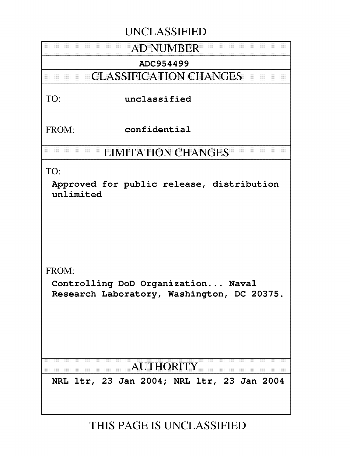## **UNCLASSIFIED**

## **AD NUMBER**

### ADC954499

## **CLASSIFICATION CHANGES**

### TO: unclassified

FROM: confidential

## **LIMITATION CHANGES**

TO:

Approved for public release, distribution unlimited

FROM:

Controlling DoD Organization... Naval Research Laboratory, Washington, DC 20375.

# **AUTHORITY**

NRL ltr, 23 Jan 2004; NRL ltr, 23 Jan 2004

# **THIS PAGE IS UNCLASSIFIED**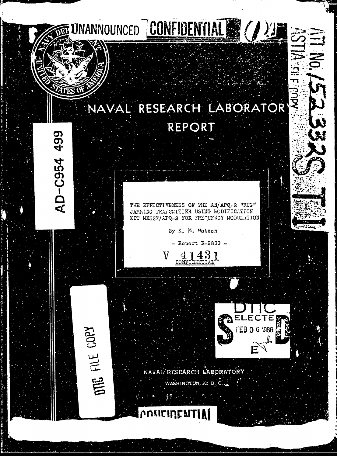# NAVAL RESEARCH LABORATOR REPORT

UNANNOUNCED **CONFIDENTIAL & (A) E** 

499

**AD-C954** 

**THE GOPY** 

THE EFFECTIVENESS OF THE AN/APQ-2 "RUG" JAMEING TRAPSMITTER USING ECDIFICATION KIT MX527/APQ-2 FOR FREQUENCY MODULATION

By K. M. Watson

- Report R-2839 -

 $41431$ ٦Z

NAVAL RESEARCH LABORATORY WASHINGTON 20. D. C.

rinfai



**MdUU EIS**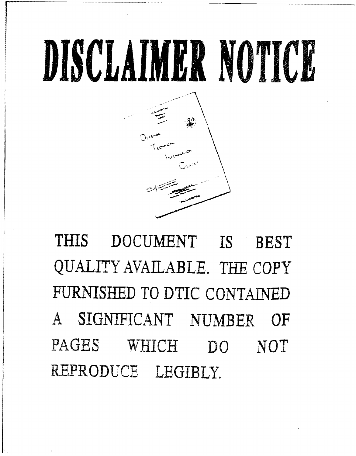

THIS **DOCUMENT** IS **BEST** QUALITY AVAILABLE. **TEE** COPY **FURNISHED** TO DTIC **CONTAINED A** SIGNIFICANT **NUMBER** OF **PAGES** WHICH **DO NOT** REPRODUCE. LEGIBLY.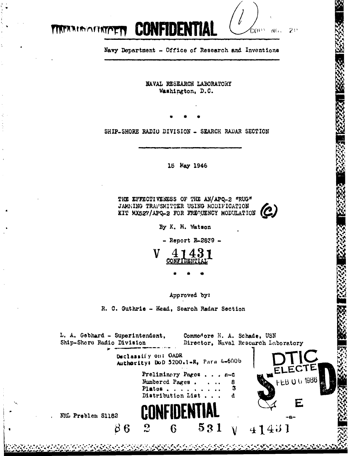

Navy Department - Office of Research and Inventions

**TIKTARIAMIRTOETT** 

NAVAL RESEARCH LABORATORY Washington, D.C.

SHIP-SHORE RADIO DIVISION - SEARCH RADAR SECTION

15 May 1946

THE EFFECTIVENESS OF THE AN/APQ-2 "RUG" JAMMING TRANSMITTER USING MODIFICATION  $\mathcal C$ KIT MX527/APQ-2 FOR FREQUENCY MODULATION

By K. M. Watson

 $-$  Report R-2839  $-$ 



Approved by:

R. C. Guthrie - Head, Search Radar Section

والمراجعة والمتعاقبة والمراجع والمتحال والمتعاقب والمتعادي والمستعمل والمتعادي والمتعادي والمتعاد والمستعمر والمتعاد

L. A. Gebhard - Superintendent. Commodore H. A. Schade, USN Director, Naval Resoarch Laboratory Ship-Shore Radio Division Declassify on: OADR Authority: DoD 5200.1-R, Para 4-600b ECTE Preliminary Pages . . . a-c **HEB 0 6 1986** Mumbered Pages. 8 Plates  $\ldots$ 3 Distribution List d E NRL Problem S1182  $-A \mathbf{S}$  $531$  $\overline{6}$  $66$  $41431$  $\overline{\mathsf{V}}$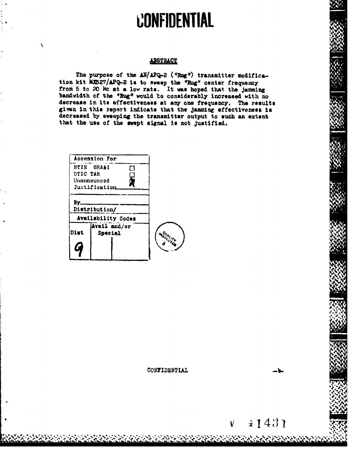# **CONFIDENTIAL**

#### **ABSTRACT**

The purpose of the AM/APQ-2 ("Rug") transmitter modification kit MX527/APQ-2 is to away the "Rug" center frequency<br>from 5 to 20 Mc at a low rate. It was hoped that the jamming<br>bandwidth of the "Rug" would be considerably increased with no decrease in its effectiveness at any one frequency. The results given in this report indicate that the jamming effectiveness is decreased by sweeping the transmitter output to such an extent that the use of the swept signal is not justified.

|          | Accession For           |   |                 |
|----------|-------------------------|---|-----------------|
|          | NTIS GRA&I              | п |                 |
| DTIC TAB |                         |   |                 |
|          | Unamounced              |   |                 |
|          | <b>Justification</b>    |   |                 |
| By       | Distribution/           |   |                 |
|          | Availability Codes      |   |                 |
| Dist     | Avail and/or<br>Special |   | <b>WSDALLAN</b> |
|          |                         |   |                 |

#### CONFIDENTIAL

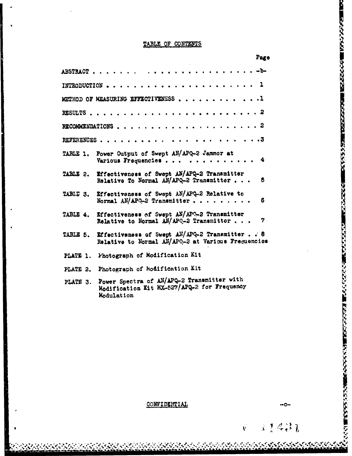|          | TABLE OF CONTENTS                                                                                                     |      |
|----------|-----------------------------------------------------------------------------------------------------------------------|------|
|          |                                                                                                                       | Page |
|          |                                                                                                                       |      |
|          |                                                                                                                       |      |
|          | METHOD OF MEASURING EFFECTIVENESS 1                                                                                   |      |
|          |                                                                                                                       |      |
|          |                                                                                                                       |      |
|          | . 3<br>REFERENCES                                                                                                     |      |
|          | TABLE 1. Power Output of Swept AN/APQ-2 Jammor at<br>Various Frequencies 4                                            |      |
|          | TABLE 2. Effectiveness of Swept AN/APQ-2 Transmitter<br>Relative To Normal AN/APQ-2 Transmitter                       | 6    |
|          | TABLE 3. Effectiveness of Swept AN/APQ-2 Relative to<br>Normal AN/APO-2 Transmitter                                   | 6    |
|          | TABLE 4. Effectiveness of Swept AN/APO-2 Transmitter<br>Relative to Normal $\widehat{AN}/\widehat{APQ}=3$ Transmitter | 7    |
|          | TABLE 5. Effectiveness of Swept AN/APQ-2 Transmitter. . 8<br>Relative to Normal AN/APO-2 at Various Frequencies       |      |
|          | PLATE 1. Photograph of Modification Kit                                                                               |      |
| PLATE 2. | Photograph of Modification Kit                                                                                        |      |
| PLATE 3. | Power Spectra of AN/APQ-2 Transmitter with<br>Modification Kit MX-827/APQ-2 for Frequency<br>Modulation               |      |
|          |                                                                                                                       |      |
|          | CONFIDENTIAL                                                                                                          | ⊶0⊶  |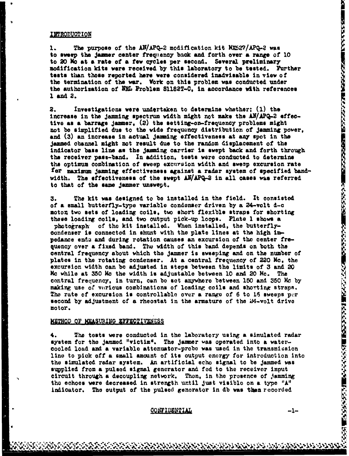#### INTRODUCTION

1. The purpose of the AN/APQ-2 modification kit MX527/APQ-2 was to **sweep** the jaumer center freoqtency back and forth over **&** range of **<sup>10</sup>** to 20 **No at a** rate of **a few cycles** per second. Several preliminary modification kits were received by this laboratory to be tested. Further tests than those reported here were considered inadvisable in view of the termination of the war. Work on this problem was conducted under the authorization of NRL Problem S1182T-C, in accordance with references **1 and** 2.

2. Investigations were undertaken to determine whether; (1) the increase in the jamming spectrum width might not make the AN/APQ-2 effective as a barrage Jamer, (2) the setting-on-frequency problems might not **be** simplified due to the wide frequoncy distribution of Jamming power, and **(3)** an increase in actual jamming effectiveness at any spot in the jammed obannel might not result due to the random displacement of the indicator **base** line **ao** the jaming carrier is swept back **and** forth through the receiver pass-band. In addition, tests were conducted to determine the optimum combination of sweep excursion width and sweep excursion rate for maximum jamming effectiveness against a radar system of specified bandwidth. The effectiveness of the swept AN/APQ-2 in all cases was referred to that of the same jammer unswept.

3. The kit was designed to be installed in the field. It consisted of a small butterfly-type variable condenser driven by a 24-volt **d-c** moton two sets of loading coils, two short flexible straps for shorting these loading coils, and two output pick-up loops. Plate 1 shows **a** photograph of the kit installed. When installed, the butterflycondenser is connected in shunt with the plate lines at the high impedance endi and during rotation causes an excursion of the center frequency over a fixed band. The width of this band depends on both the central frequency about which the jammer is sweeping and on the number of plates in the rotating condenser. At **a** central frequency of <sup>220</sup>**Me,** the excursion vidth can be adjusted in steps between the limits of 3 and 20 Mc while at 350 kc the width is adjustable between 10 and 20 Me. The central frequency, in turn, can be set anywhere between 150 and 350 **Me** by making use of various combinations of loading coils and shorting straps. The rate of excursion is controllable over a range of 6 to 15 sweeps per second by adjustment of a rheostat in the armature of the 24-volt drive motor.

#### METHOD OF MEASURING EFFECTIVENESS

4. The **tests** were conducted in the laboratory using a simulated radar system for the jammed "victim". The jamner was operated into a watercooled load and a variable attenuator-probe was used in the transmission line to **pick** off a small amount of its output energy for introduction into the simulated radar system. An artificial echo signal to be jammed was supplied from a pulsed signal generator and fed to the receiver input circuit through a decoupling network. Then, in the presence of jamming the echoes were decreased In strength until just visible on a type "A" indicator. The output of the pulsed generator in db was then recorded

#### **CONFIDENTIAL**

للاطباعية والاستراكات المساحيات والمراكبات والمائية المراكبة المراكبة المراكبة المراكبة والمراكبة والمراكبة والمراكبة والمراكبة والمراكبة

**こうかい あいこうこう アクセック アクセック こうしょう こうしょう アクレストラング アクレストランド こうしょう アクレストランク こうしょう こうしょう こうしょう こうしょう こうしょう こうしょう こうしょう**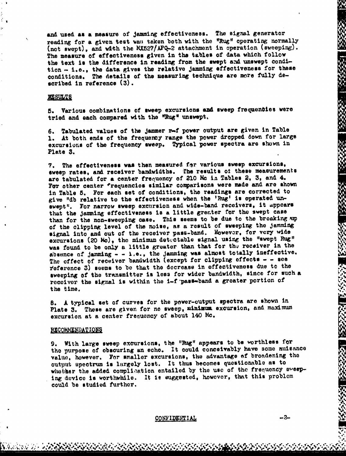and used as a measure of Jamming effectiveness. The signal generator reading for a given test was taken both with the "Rug" operating normally (not swept), and with the MX527/APQ-2 attachment in operation (sweeping). The measure of effectiveness given in the tables of data which follow the text is the difference in reading from the swept and unswept condition - i.e., the data gives the relative jamming effectiveness for these conditions. The details of the measuring technique are more fully described in reference (3).

#### **RESULTS**

5. Various combinations of sweep excursions and sweep frequencies were tried and each compared with the "Rug" unswept.

6. Tabulated values of the jammer r-f power output are given in Table 1. At both ends of the frequency range the power dropped down for large excursions of the frequency sweep. Typical power spectra are **shown** in Plate **3.**

7. The effectiveness was then measured for various sweep excursions, sweep rates, and receiver bandwidths. The results of these measurements arc tabulated for a center frequency of 210 Mc in Tables 2, 3, and 4. For other center \*requencies similar comparisons were made and are shown in Table 5. For each set of conditions, the readings are corrected to give "1db relative to the effectiveness when the 'Rug' **is** operated. unewept". For narrow sweep excursion and wide-band receivers, it appears that the Jamming effectiveness is a little grenter for the swept case than for the non-sweeping case. This seems to be due to the breaking ap of the clipping level of the noise, at a result of sweeping the Jamming signal into and out of the receiver pass-band. However, for very wide excursions (20 Mo), the minimum detectable signal using the "swept Rug" was found to be only a little greater than that for the receiver in the absence nf jamming **- -** i.e., the jamming **was** almost totally ineffective. The effect of receiver bandwidth (except for clipping effects **- -** see Veference **3)** seems to be that the decrease in effectiveness due to the sweeping of the transmitter is less for wider bandwidth, since for such a receiver the signal is within the i-f pass-band a greater portion of the time.

**S.** A typical set of curves for the power-output spectra are shown in Plate 3. These are given for no sweep, minimum excursion, and maximum excursion at a center frenuoncy of about 140 Mo.

#### RECOMMENDATIONS

9. With large sweep excursions, the "Rug" appears to be worthless for the purpose of obscuring an echo. It could conceivably have some nuisance value, however. For smaller excursions, the advantage of broadening the output apectrum is largely lost. It thus becomes questionable as to whether the added complication entailed by the use of the frequency aweeping device Is worthwhile. It **It** suggested, however, that this problem could be studied further.

#### $$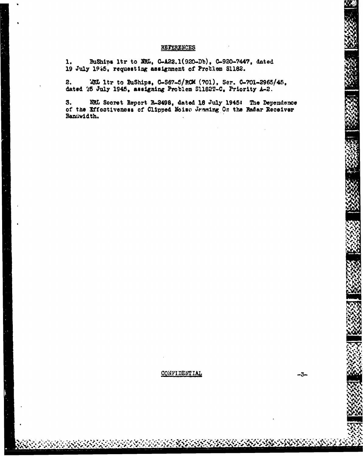#### REFERENCES

BuShips 1tr to NRL, C-A22.1(920-Db), C-920-7447, dated 1. 19 July 1945, requesting assignment of Problem Sl182.

WRL ltr to BuShips, C-S67-5/RCM (701), Ser. C-701-2965/45, 2. dated 25 July 1945, assigning Problem S1182T-C. Priority A-2.

3. NRL Secret Report R-2498, dated 18 July 1945: The Dependence of the Effectiveness of Clipped Noise Jeaning On the Radar Receiver Bandwidth.

#### **CONFIDENTIAL**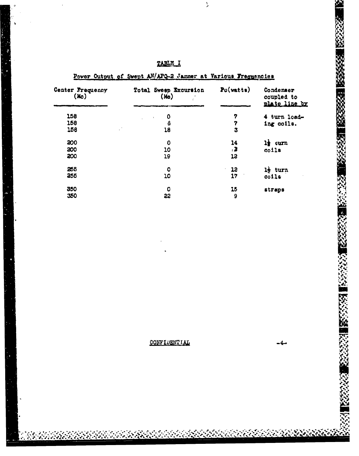| Center Frequency<br>(M <sub>O</sub> ) | Total Sweep Excursion<br>(M <sub>o</sub> ) | $P0(\text{vatt})$ | Condenser<br>coupled to<br>plate line by |
|---------------------------------------|--------------------------------------------|-------------------|------------------------------------------|
| 158                                   | 0<br>$\ddot{\phantom{a}}$                  | 7                 | 4 turn load-                             |
| 158                                   | ô                                          | 7                 | ing coils.                               |
| 158                                   | 18                                         | 3                 |                                          |
| 200                                   | $\mathbf 0$                                | 14                | $11$ curn                                |
| 200                                   | 10                                         | 73                | colls                                    |
| 200                                   | 19                                         | 13                |                                          |
| 255                                   | $\bullet$                                  | 12<br>$\sim$      | l <sub>2</sub> turn                      |
| 255                                   | 10                                         | 17                | $\ddot{\text{o}}$                        |
| 350                                   | 0                                          | 15                | straps                                   |
| 350                                   | 33                                         | 9                 |                                          |

TABLE I

Power Output of Swept AN/APQ-2 Jammer at Various Frequencies

ı,

 $\bar{\lambda}$ 

1333331

突

**大家的复数形式** 

**BECKS** 

CONFIDENTIAL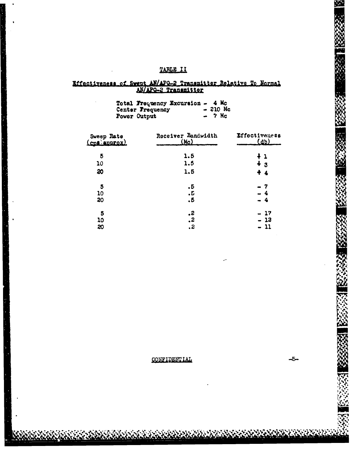### TABLE II

# Effectiveness of Swept AN/APO-2 Transmitter Relative To Normal

| Total Frequency Excursion $-4$ Mc |           |
|-----------------------------------|-----------|
| Center Frequency                  | $-210$ Mc |
| Power Output                      | $-7$ Mc   |

| Sweep Rate<br>(cps approx) | Receiver Bandwidth<br><u>(Ma)</u> | <b>Effectiveness</b><br>$(d\mathfrak{d})$ |
|----------------------------|-----------------------------------|-------------------------------------------|
| 5                          | 1.5                               | ł l                                       |
| 10                         | 1.5                               | $+3$                                      |
| 20                         | 1.5                               | $+4$                                      |
| 5                          | $\cdot 5$                         | - 7                                       |
| 10                         | .Б                                | - 4                                       |
| 20                         | ۰б                                | - 4                                       |
| 5                          | .2                                | - 17                                      |
| 10                         | $\ddot{\mathbf{z}}$               | - 13                                      |
| 20                         | . 2                               | 11                                        |

CONF'IDENTIAL

ستا۔

**Vr**

 $\mathbf{v}$ 

**rz4** 4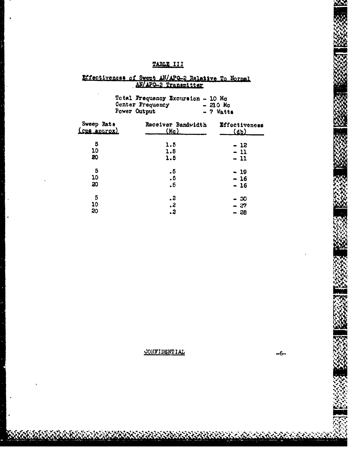## TABLE III

# Effectiveness of Swept AN/APO-2 Relative To Normal

|                                   | Total Frequency Excursion - 10 Mc<br>Center Frequency<br><b>Fower Output</b> | $-210$ Mo<br>$-7$ Watts      |  |  |
|-----------------------------------|------------------------------------------------------------------------------|------------------------------|--|--|
| Sweep Rate<br><u>(cps aptrox)</u> | Receiver Bandwidth<br>(M <sub>c</sub> )                                      | Effectiveness<br><u>(db)</u> |  |  |
| 5                                 | 1.5                                                                          | - 12                         |  |  |
| 10                                | 1.5                                                                          | - 11                         |  |  |
| 20                                | 1.5                                                                          | $-11$                        |  |  |
| 5                                 | . 5                                                                          | - 19                         |  |  |
| 10                                | . 5                                                                          | - 16                         |  |  |
| 20                                | $\cdot$ <sub>5</sub>                                                         | - 16                         |  |  |
| 5                                 | . 2                                                                          | - 50                         |  |  |
| 10                                | $\cdot$ 2                                                                    | - 27                         |  |  |
| 20                                | . 3                                                                          | - 28                         |  |  |

CONFIDENTIAL

 $-6-$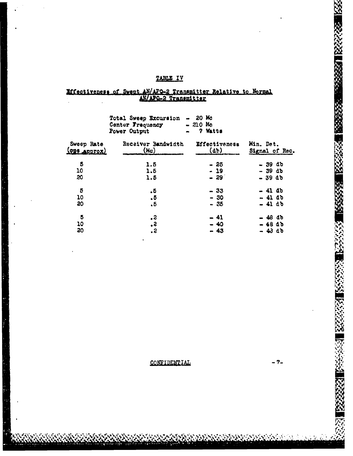### TABLE IV

# Mitsctiveness of Swept AN/APO-2 Transmitter Relative to Mormal

|                            | Total Sweep Excursion<br>Center Frequency<br><b>Fower Output</b> | $-20$ Mc<br>$-210$ Mc<br>7 Watts<br>$\bullet$ |                             |
|----------------------------|------------------------------------------------------------------|-----------------------------------------------|-----------------------------|
| Sweep Rate<br>(ODS Approx) | Receiver Bandwidth<br>(M <sub>c</sub> )                          | Effectiveness<br>$(d\mathbf{b})$              | Min. Det.<br>Signal of Rec. |
| 5                          | 1.5                                                              | - 25                                          | - 39 db                     |
| 10                         | 1.6                                                              | $-19$                                         | $-39d$                      |
| 20                         | 1.5                                                              | $-29$                                         | $-39d$                      |
| 5                          | . 5                                                              | - 33                                          | - 41 db                     |
| 10                         | .5                                                               | $-30$                                         | $-41d$                      |
| 80                         | $\cdot$ 5                                                        | - 35                                          | $-41$ db                    |
| 5                          | $\cdot$ 2                                                        | - 41                                          | $-48d$                      |
| 10                         | $\cdot$                                                          | $-40$                                         | <b>-48 db</b>               |
| 20                         | . 2                                                              | $-43$                                         | $-43d$                      |

CONFIDENTIAL

- 7-

33

ž

陜

**SE** 

**ACCESS AND SECTIONS AND SECTION**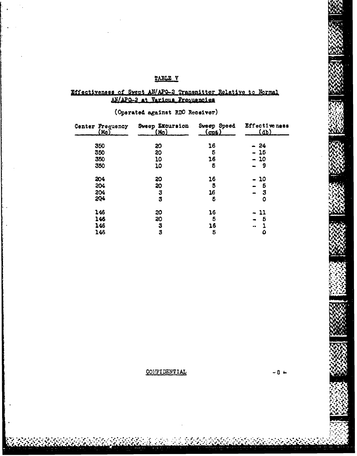#### TABLE V

# Effectiveness of Swept AN/APO-2 Transmitter Relative to Normal<br>AN/APO-2 at Various Frequencies

### (Operated against RDO Receiver)

| Center Frequency<br><u>(Mo)</u> | Sweep Excursion<br>(M <sub>O</sub> ) | Sweep Speed<br><u>(cp6)</u> | Effective ness<br><u>(db)</u> |
|---------------------------------|--------------------------------------|-----------------------------|-------------------------------|
| 350                             | 20                                   | 16                          | $-24$                         |
| 350                             | 20                                   | 5                           | $-15$                         |
| 350                             | 10                                   | 16                          | $-10$                         |
| 350                             | 10                                   | 5                           | - 9<br>$\bullet$              |
| 204                             | 20                                   | 16                          | 10                            |
| 204                             | 20                                   | 5                           | 5                             |
| 204                             | 3                                    | 16                          | З<br>$\blacksquare$           |
| 204                             | 3                                    | 6                           | 0                             |
| 146                             | 20                                   | 16                          | - 11                          |
| 146                             | 30                                   | 5                           | Б                             |
| 146                             | 3                                    | 16                          |                               |
| 146                             | 3                                    | 5                           | ۵                             |

**CONFIDENTIAL**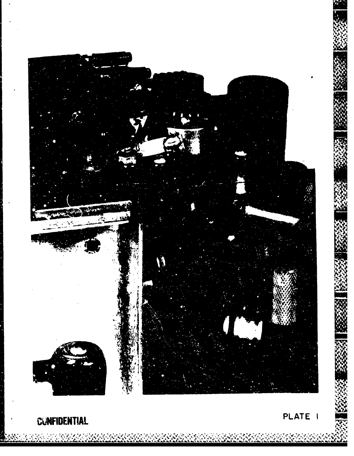

**CUNFIDENTIAL** 

 $\mathcal{L} \subset \mathcal{L}$ 

A TANSARA MARKATAN NG KABUPATAN

PLATE I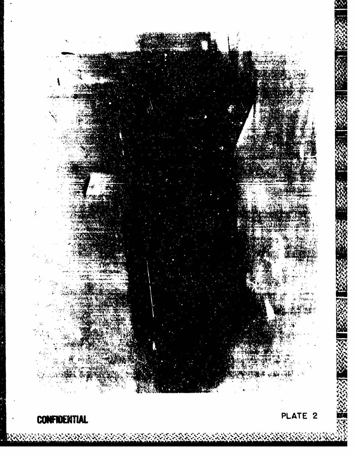

**CONFIDENTIAL** 

<u> ઇન્ડિયા છે અને સામગ્રી માર્ગ પ્રાથમિક કરી છે. જે તે જીવા જે પ્રાથમિક કરી માટે પ્રાથમિક કરી છે. જે તે જે પ્રા</u>

PLATE 2

AS ANDRE AN ARTICLE DE LA DISTRICTION DE LA CARDINALITÉ DE LA CARDINALITÉ DE LA CARDINALITÉ DE LA CARDINALITÉ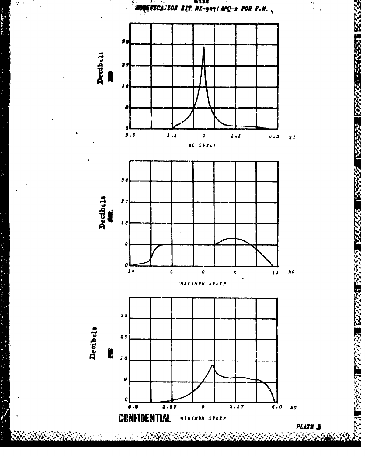

**大大的 的复数人名英格兰人姓氏德格兰人名 医无效效应 医皮肤性的 医皮肤性**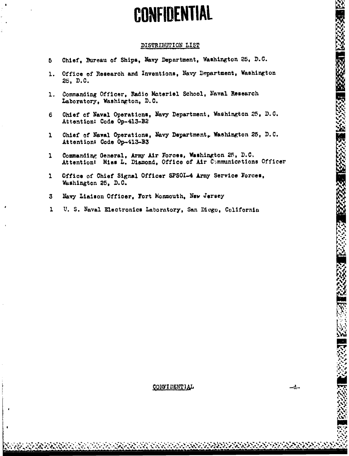# **CONFIDENTIAL**

#### DISTRIBUTION LIST

- Chief, Bureau of Ships, Navy Department, Washington 25, D.C.  $\overline{b}$
- Office of Research and Inventions, Navy Department, Washington  $1.$ 26, D.C.
- 1. Commanding Officer, Radio Materiel School, Naval Research Laboratory, Washington, D.O.
- Chief of Naval Operations, Navy Department, Washington 25, D.C. 6 Attention: Code Op-413-B2
- Chief of Naval Operations, Navy Department, Washington 25, D.C.  $\mathbf{1}$ Attention: Code Op-413-B3
- Commanding General, Army Air Forces, Washington 25, D.C.  $\mathbf{1}$ Attention: Miss L. Diamond, Office of Air Communications Officer
- Office of Chief Signal Officer SPSOI-4 Army Service Forces,  $\mathbf{1}$ Washington 25. D.C.
- $\mathbf{3}$ Navy Liaison Officer, Fort Monmouth, New Jersey
- $\mathbf{1}$ U. S. Naval Electronics Laboratory, San Diego, California

#### CONFIDENTIAL

**的复数经济 医经济经济 医经济发展 医经济测试** 

2002年第1月 10月 10日 10月 10日